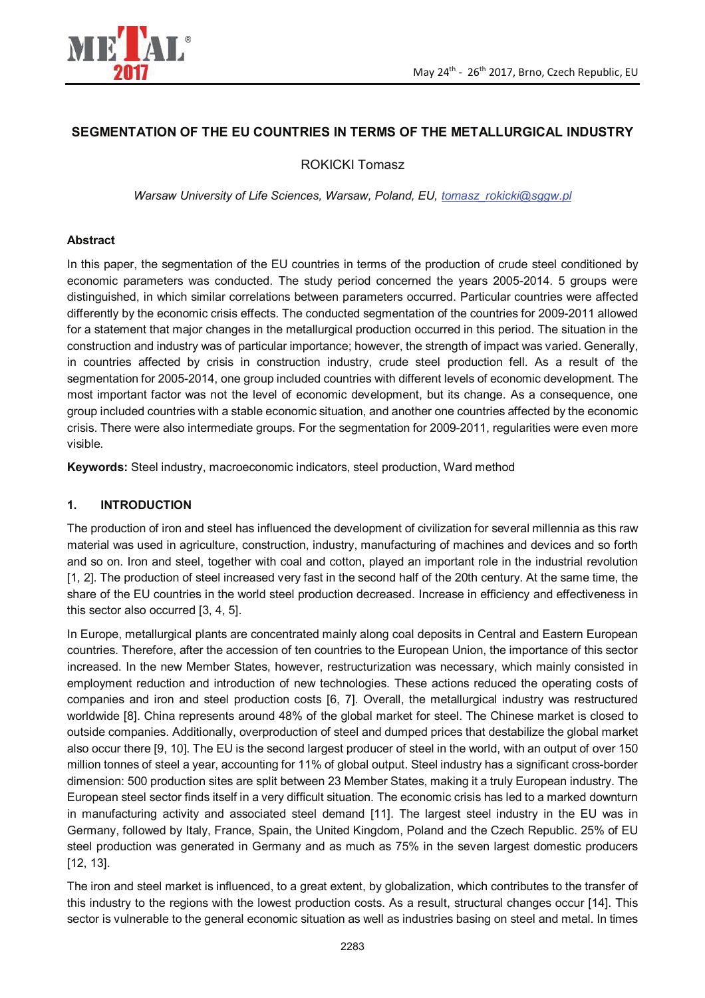

# **SEGMENTATION OF THE EU COUNTRIES IN TERMS OF THE METALLURGICAL INDUSTRY**

ROKICKI Tomasz

*Warsaw University of Life Sciences, Warsaw, Poland, EU, tomasz\_rokicki@sggw.pl* 

#### **Abstract**

In this paper, the segmentation of the EU countries in terms of the production of crude steel conditioned by economic parameters was conducted. The study period concerned the years 2005-2014. 5 groups were distinguished, in which similar correlations between parameters occurred. Particular countries were affected differently by the economic crisis effects. The conducted segmentation of the countries for 2009-2011 allowed for a statement that major changes in the metallurgical production occurred in this period. The situation in the construction and industry was of particular importance; however, the strength of impact was varied. Generally, in countries affected by crisis in construction industry, crude steel production fell. As a result of the segmentation for 2005-2014, one group included countries with different levels of economic development. The most important factor was not the level of economic development, but its change. As a consequence, one group included countries with a stable economic situation, and another one countries affected by the economic crisis. There were also intermediate groups. For the segmentation for 2009-2011, regularities were even more visible.

**Keywords:** Steel industry, macroeconomic indicators, steel production, Ward method

### **1. INTRODUCTION**

The production of iron and steel has influenced the development of civilization for several millennia as this raw material was used in agriculture, construction, industry, manufacturing of machines and devices and so forth and so on. Iron and steel, together with coal and cotton, played an important role in the industrial revolution [1, 2]. The production of steel increased very fast in the second half of the 20th century. At the same time, the share of the EU countries in the world steel production decreased. Increase in efficiency and effectiveness in this sector also occurred [3, 4, 5].

In Europe, metallurgical plants are concentrated mainly along coal deposits in Central and Eastern European countries. Therefore, after the accession of ten countries to the European Union, the importance of this sector increased. In the new Member States, however, restructurization was necessary, which mainly consisted in employment reduction and introduction of new technologies. These actions reduced the operating costs of companies and iron and steel production costs [6, 7]. Overall, the metallurgical industry was restructured worldwide [8]. China represents around 48% of the global market for steel. The Chinese market is closed to outside companies. Additionally, overproduction of steel and dumped prices that destabilize the global market also occur there [9, 10]. The EU is the second largest producer of steel in the world, with an output of over 150 million tonnes of steel a year, accounting for 11% of global output. Steel industry has a significant cross-border dimension: 500 production sites are split between 23 Member States, making it a truly European industry. The European steel sector finds itself in a very difficult situation. The economic crisis has led to a marked downturn in manufacturing activity and associated steel demand [11]. The largest steel industry in the EU was in Germany, followed by Italy, France, Spain, the United Kingdom, Poland and the Czech Republic. 25% of EU steel production was generated in Germany and as much as 75% in the seven largest domestic producers [12, 13].

The iron and steel market is influenced, to a great extent, by globalization, which contributes to the transfer of this industry to the regions with the lowest production costs. As a result, structural changes occur [14]. This sector is vulnerable to the general economic situation as well as industries basing on steel and metal. In times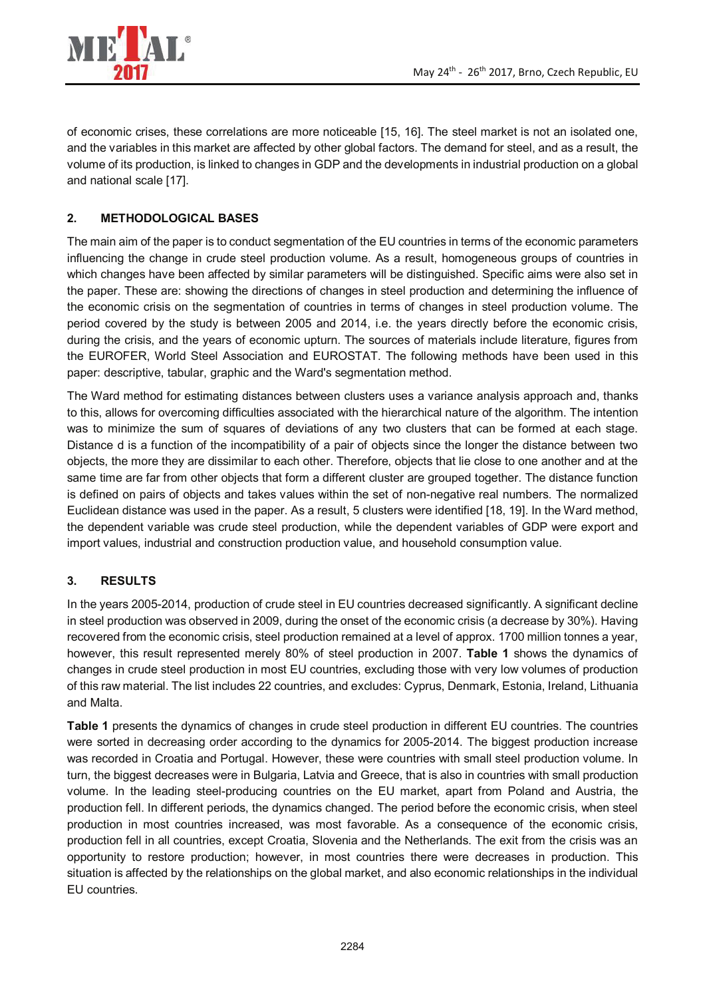

of economic crises, these correlations are more noticeable [15, 16]. The steel market is not an isolated one, and the variables in this market are affected by other global factors. The demand for steel, and as a result, the volume of its production, is linked to changes in GDP and the developments in industrial production on a global and national scale [17].

# **2. METHODOLOGICAL BASES**

The main aim of the paper is to conduct segmentation of the EU countries in terms of the economic parameters influencing the change in crude steel production volume. As a result, homogeneous groups of countries in which changes have been affected by similar parameters will be distinguished. Specific aims were also set in the paper. These are: showing the directions of changes in steel production and determining the influence of the economic crisis on the segmentation of countries in terms of changes in steel production volume. The period covered by the study is between 2005 and 2014, i.e. the years directly before the economic crisis, during the crisis, and the years of economic upturn. The sources of materials include literature, figures from the EUROFER, World Steel Association and EUROSTAT. The following methods have been used in this paper: descriptive, tabular, graphic and the Ward's segmentation method.

The Ward method for estimating distances between clusters uses a variance analysis approach and, thanks to this, allows for overcoming difficulties associated with the hierarchical nature of the algorithm. The intention was to minimize the sum of squares of deviations of any two clusters that can be formed at each stage. Distance d is a function of the incompatibility of a pair of objects since the longer the distance between two objects, the more they are dissimilar to each other. Therefore, objects that lie close to one another and at the same time are far from other objects that form a different cluster are grouped together. The distance function is defined on pairs of objects and takes values within the set of non-negative real numbers. The normalized Euclidean distance was used in the paper. As a result, 5 clusters were identified [18, 19]. In the Ward method, the dependent variable was crude steel production, while the dependent variables of GDP were export and import values, industrial and construction production value, and household consumption value.

## **3. RESULTS**

In the years 2005-2014, production of crude steel in EU countries decreased significantly. A significant decline in steel production was observed in 2009, during the onset of the economic crisis (a decrease by 30%). Having recovered from the economic crisis, steel production remained at a level of approx. 1700 million tonnes a year, however, this result represented merely 80% of steel production in 2007. **Table 1** shows the dynamics of changes in crude steel production in most EU countries, excluding those with very low volumes of production of this raw material. The list includes 22 countries, and excludes: Cyprus, Denmark, Estonia, Ireland, Lithuania and Malta.

**Table 1** presents the dynamics of changes in crude steel production in different EU countries. The countries were sorted in decreasing order according to the dynamics for 2005-2014. The biggest production increase was recorded in Croatia and Portugal. However, these were countries with small steel production volume. In turn, the biggest decreases were in Bulgaria, Latvia and Greece, that is also in countries with small production volume. In the leading steel-producing countries on the EU market, apart from Poland and Austria, the production fell. In different periods, the dynamics changed. The period before the economic crisis, when steel production in most countries increased, was most favorable. As a consequence of the economic crisis, production fell in all countries, except Croatia, Slovenia and the Netherlands. The exit from the crisis was an opportunity to restore production; however, in most countries there were decreases in production. This situation is affected by the relationships on the global market, and also economic relationships in the individual EU countries.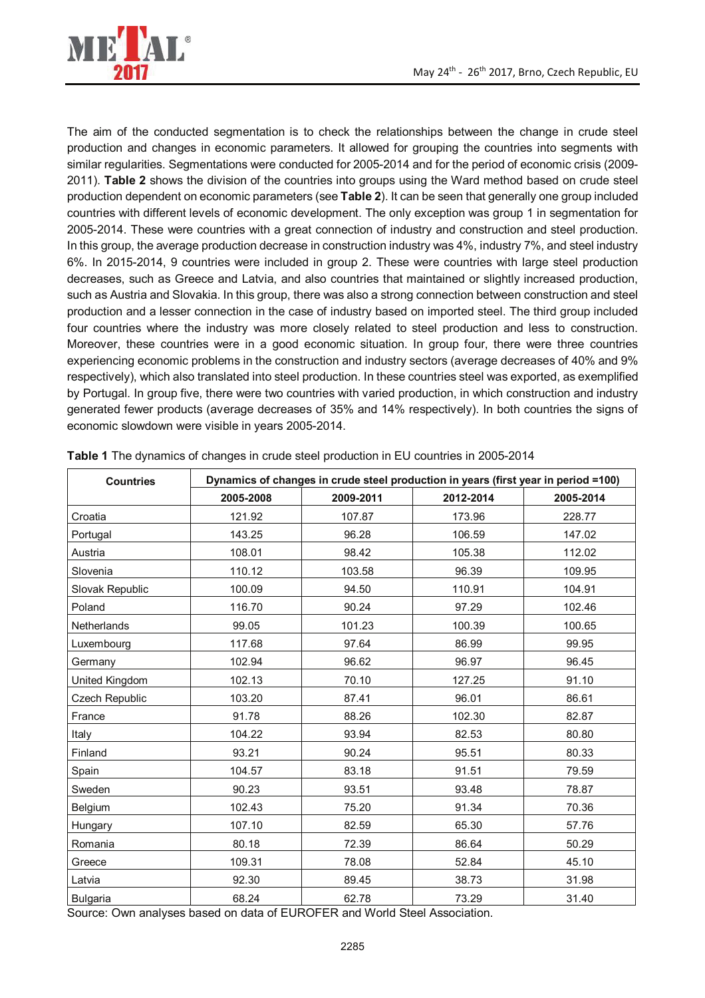

The aim of the conducted segmentation is to check the relationships between the change in crude steel production and changes in economic parameters. It allowed for grouping the countries into segments with similar regularities. Segmentations were conducted for 2005-2014 and for the period of economic crisis (2009- 2011). **Table 2** shows the division of the countries into groups using the Ward method based on crude steel production dependent on economic parameters (see **Table 2**). It can be seen that generally one group included countries with different levels of economic development. The only exception was group 1 in segmentation for 2005-2014. These were countries with a great connection of industry and construction and steel production. In this group, the average production decrease in construction industry was 4%, industry 7%, and steel industry 6%. In 2015-2014, 9 countries were included in group 2. These were countries with large steel production decreases, such as Greece and Latvia, and also countries that maintained or slightly increased production, such as Austria and Slovakia. In this group, there was also a strong connection between construction and steel production and a lesser connection in the case of industry based on imported steel. The third group included four countries where the industry was more closely related to steel production and less to construction. Moreover, these countries were in a good economic situation. In group four, there were three countries experiencing economic problems in the construction and industry sectors (average decreases of 40% and 9% respectively), which also translated into steel production. In these countries steel was exported, as exemplified by Portugal. In group five, there were two countries with varied production, in which construction and industry generated fewer products (average decreases of 35% and 14% respectively). In both countries the signs of economic slowdown were visible in years 2005-2014.

| <b>Countries</b>   | Dynamics of changes in crude steel production in years (first year in period =100) |           |           |           |
|--------------------|------------------------------------------------------------------------------------|-----------|-----------|-----------|
|                    | 2005-2008                                                                          | 2009-2011 | 2012-2014 | 2005-2014 |
| Croatia            | 121.92                                                                             | 107.87    | 173.96    | 228.77    |
| Portugal           | 143.25                                                                             | 96.28     | 106.59    | 147.02    |
| Austria            | 108.01                                                                             | 98.42     | 105.38    | 112.02    |
| Slovenia           | 110.12                                                                             | 103.58    | 96.39     | 109.95    |
| Slovak Republic    | 100.09                                                                             | 94.50     | 110.91    | 104.91    |
| Poland             | 116.70                                                                             | 90.24     | 97.29     | 102.46    |
| <b>Netherlands</b> | 99.05                                                                              | 101.23    | 100.39    | 100.65    |
| Luxembourg         | 117.68                                                                             | 97.64     | 86.99     | 99.95     |
| Germany            | 102.94                                                                             | 96.62     | 96.97     | 96.45     |
| United Kingdom     | 102.13                                                                             | 70.10     | 127.25    | 91.10     |
| Czech Republic     | 103.20                                                                             | 87.41     | 96.01     | 86.61     |
| France             | 91.78                                                                              | 88.26     | 102.30    | 82.87     |
| Italy              | 104.22                                                                             | 93.94     | 82.53     | 80.80     |
| Finland            | 93.21                                                                              | 90.24     | 95.51     | 80.33     |
| Spain              | 104.57                                                                             | 83.18     | 91.51     | 79.59     |
| Sweden             | 90.23                                                                              | 93.51     | 93.48     | 78.87     |
| Belgium            | 102.43                                                                             | 75.20     | 91.34     | 70.36     |
| Hungary            | 107.10                                                                             | 82.59     | 65.30     | 57.76     |
| Romania            | 80.18                                                                              | 72.39     | 86.64     | 50.29     |
| Greece             | 109.31                                                                             | 78.08     | 52.84     | 45.10     |
| Latvia             | 92.30                                                                              | 89.45     | 38.73     | 31.98     |
| <b>Bulgaria</b>    | 68.24                                                                              | 62.78     | 73.29     | 31.40     |

**Table 1** The dynamics of changes in crude steel production in EU countries in 2005-2014

Source: Own analyses based on data of EUROFER and World Steel Association.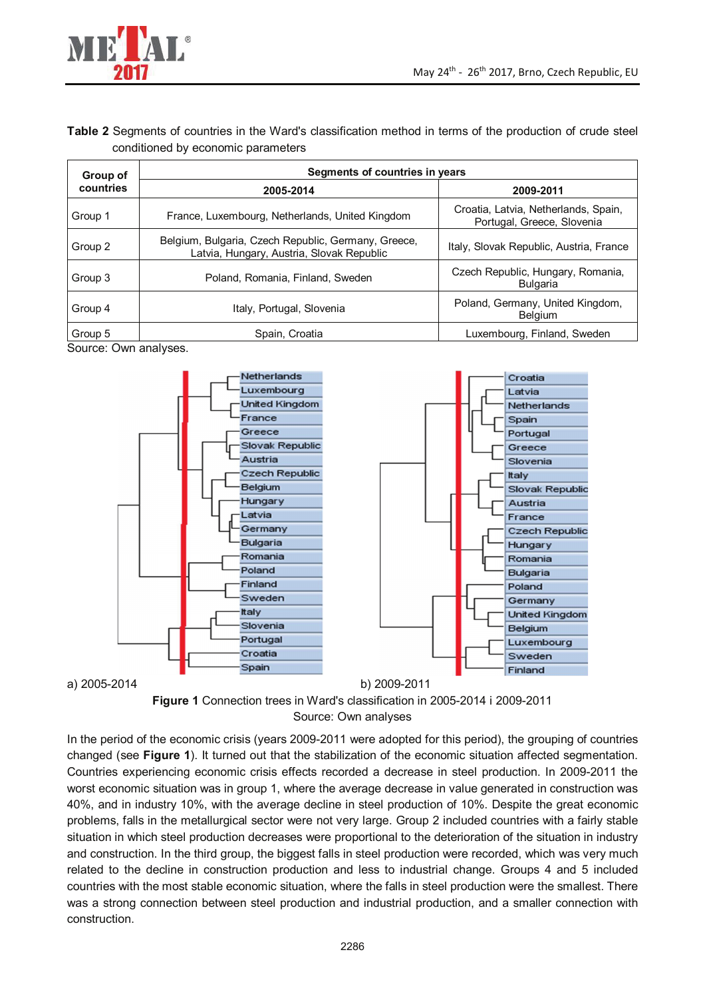

## **Table 2** Segments of countries in the Ward's classification method in terms of the production of crude steel conditioned by economic parameters

| Group of  | Segments of countries in years                                                                   |                                                                    |  |  |
|-----------|--------------------------------------------------------------------------------------------------|--------------------------------------------------------------------|--|--|
| countries | 2005-2014                                                                                        | 2009-2011                                                          |  |  |
| Group 1   | France, Luxembourg, Netherlands, United Kingdom                                                  | Croatia, Latvia, Netherlands, Spain,<br>Portugal, Greece, Slovenia |  |  |
| Group 2   | Belgium, Bulgaria, Czech Republic, Germany, Greece,<br>Latvia, Hungary, Austria, Slovak Republic | Italy, Slovak Republic, Austria, France                            |  |  |
| Group 3   | Poland, Romania, Finland, Sweden                                                                 | Czech Republic, Hungary, Romania,<br><b>Bulgaria</b>               |  |  |
| Group 4   | Italy, Portugal, Slovenia                                                                        | Poland, Germany, United Kingdom,<br>Belgium                        |  |  |
| Group 5   | Spain, Croatia                                                                                   | Luxembourg, Finland, Sweden                                        |  |  |

Source: Own analyses.





In the period of the economic crisis (years 2009-2011 were adopted for this period), the grouping of countries changed (see **Figure 1**). It turned out that the stabilization of the economic situation affected segmentation. Countries experiencing economic crisis effects recorded a decrease in steel production. In 2009-2011 the worst economic situation was in group 1, where the average decrease in value generated in construction was 40%, and in industry 10%, with the average decline in steel production of 10%. Despite the great economic problems, falls in the metallurgical sector were not very large. Group 2 included countries with a fairly stable situation in which steel production decreases were proportional to the deterioration of the situation in industry and construction. In the third group, the biggest falls in steel production were recorded, which was very much related to the decline in construction production and less to industrial change. Groups 4 and 5 included countries with the most stable economic situation, where the falls in steel production were the smallest. There was a strong connection between steel production and industrial production, and a smaller connection with construction.